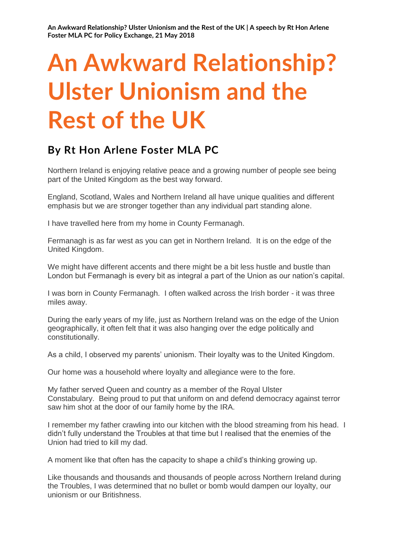# **An Awkward Relationship? Ulster Unionism and the Rest of the UK**

# **By Rt Hon Arlene Foster MLA PC**

Northern Ireland is enjoying relative peace and a growing number of people see being part of the United Kingdom as the best way forward.

England, Scotland, Wales and Northern Ireland all have unique qualities and different emphasis but we are stronger together than any individual part standing alone.

I have travelled here from my home in County Fermanagh.

Fermanagh is as far west as you can get in Northern Ireland. It is on the edge of the United Kingdom.

We might have different accents and there might be a bit less hustle and bustle than London but Fermanagh is every bit as integral a part of the Union as our nation's capital.

I was born in County Fermanagh. I often walked across the Irish border - it was three miles away.

During the early years of my life, just as Northern Ireland was on the edge of the Union geographically, it often felt that it was also hanging over the edge politically and constitutionally.

As a child, I observed my parents' unionism. Their loyalty was to the United Kingdom.

Our home was a household where loyalty and allegiance were to the fore.

My father served Queen and country as a member of the Royal Ulster Constabulary. Being proud to put that uniform on and defend democracy against terror saw him shot at the door of our family home by the IRA.

I remember my father crawling into our kitchen with the blood streaming from his head. I didn't fully understand the Troubles at that time but I realised that the enemies of the Union had tried to kill my dad.

A moment like that often has the capacity to shape a child's thinking growing up.

Like thousands and thousands and thousands of people across Northern Ireland during the Troubles, I was determined that no bullet or bomb would dampen our loyalty, our unionism or our Britishness.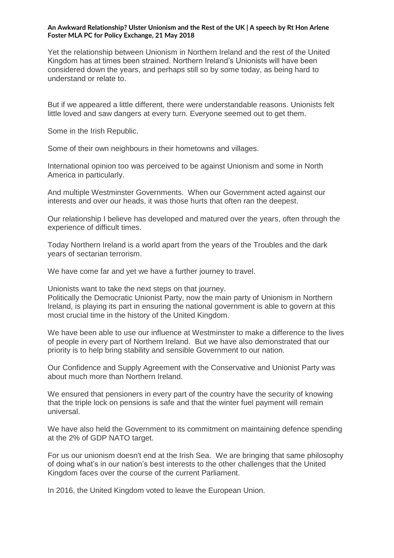Yet the relationship between Unionism in Northern Ireland and the rest of the United Kingdom has at times been strained. Northern Ireland's Unionists will have been considered down the years, and perhaps still so by some today, as being hard to understand or relate to.

But if we appeared a little different, there were understandable reasons. Unionists felt little loved and saw dangers at every turn. Everyone seemed out to get them.

Some in the Irish Republic.

Some of their own neighbours in their hometowns and villages.

International opinion too was perceived to be against Unionism and some in North America in particularly.

And multiple Westminster Governments. When our Government acted against our interests and over our heads, it was those hurts that often ran the deepest.

Our relationship I believe has developed and matured over the years, often through the experience of difficult times.

Today Northern Ireland is a world apart from the years of the Troubles and the dark years of sectarian terrorism.

We have come far and yet we have a further journey to travel.

Unionists want to take the next steps on that journey.

Politically the Democratic Unionist Party, now the main party of Unionism in Northern Ireland, is playing its part in ensuring the national government is able to govern at this most crucial time in the history of the United Kingdom.

We have been able to use our influence at Westminster to make a difference to the lives of people in every part of Northern Ireland. But we have also demonstrated that our priority is to help bring stability and sensible Government to our nation.

Our Confidence and Supply Agreement with the Conservative and Unionist Party was about much more than Northern Ireland.

We ensured that pensioners in every part of the country have the security of knowing that the triple lock on pensions is safe and that the winter fuel payment will remain universal.

We have also held the Government to its commitment on maintaining defence spending at the 2% of GDP NATO target.

For us our unionism doesn't end at the Irish Sea. We are bringing that same philosophy of doing what's in our nation's best interests to the other challenges that the United Kingdom faces over the course of the current Parliament.

In 2016, the United Kingdom voted to leave the European Union.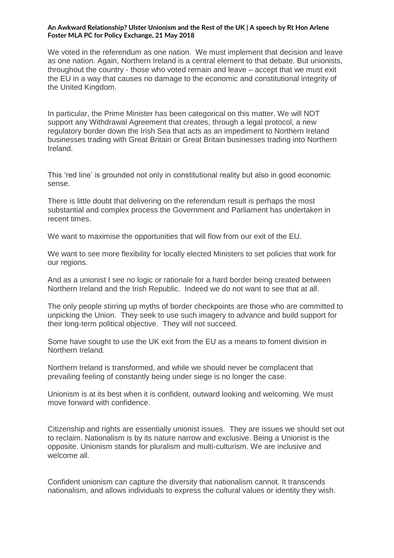We voted in the referendum as one nation. We must implement that decision and leave as one nation. Again, Northern Ireland is a central element to that debate. But unionists, throughout the country - those who voted remain and leave – accept that we must exit the EU in a way that causes no damage to the economic and constitutional integrity of the United Kingdom.

In particular, the Prime Minister has been categorical on this matter. We will NOT support any Withdrawal Agreement that creates, through a legal protocol, a new regulatory border down the Irish Sea that acts as an impediment to Northern Ireland businesses trading with Great Britain or Great Britain businesses trading into Northern Ireland.

This 'red line' is grounded not only in constitutional reality but also in good economic sense.

There is little doubt that delivering on the referendum result is perhaps the most substantial and complex process the Government and Parliament has undertaken in recent times.

We want to maximise the opportunities that will flow from our exit of the EU.

We want to see more flexibility for locally elected Ministers to set policies that work for our regions.

And as a unionist I see no logic or rationale for a hard border being created between Northern Ireland and the Irish Republic. Indeed we do not want to see that at all.

The only people stirring up myths of border checkpoints are those who are committed to unpicking the Union. They seek to use such imagery to advance and build support for their long-term political objective. They will not succeed.

Some have sought to use the UK exit from the EU as a means to foment division in Northern Ireland.

Northern Ireland is transformed, and while we should never be complacent that prevailing feeling of constantly being under siege is no longer the case.

Unionism is at its best when it is confident, outward looking and welcoming. We must move forward with confidence.

Citizenship and rights are essentially unionist issues. They are issues we should set out to reclaim. Nationalism is by its nature narrow and exclusive. Being a Unionist is the opposite. Unionism stands for pluralism and multi-culturism. We are inclusive and welcome all.

Confident unionism can capture the diversity that nationalism cannot. It transcends nationalism, and allows individuals to express the cultural values or identity they wish.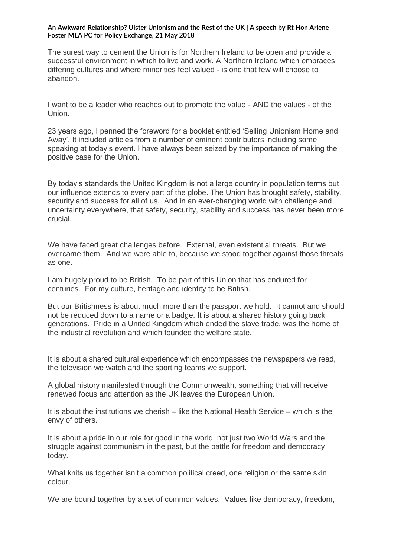The surest way to cement the Union is for Northern Ireland to be open and provide a successful environment in which to live and work. A Northern Ireland which embraces differing cultures and where minorities feel valued - is one that few will choose to abandon.

I want to be a leader who reaches out to promote the value - AND the values - of the Union.

23 years ago, I penned the foreword for a booklet entitled 'Selling Unionism Home and Away'. It included articles from a number of eminent contributors including some speaking at today's event. I have always been seized by the importance of making the positive case for the Union.

By today's standards the United Kingdom is not a large country in population terms but our influence extends to every part of the globe. The Union has brought safety, stability, security and success for all of us. And in an ever-changing world with challenge and uncertainty everywhere, that safety, security, stability and success has never been more crucial.

We have faced great challenges before. External, even existential threats. But we overcame them. And we were able to, because we stood together against those threats as one.

I am hugely proud to be British. To be part of this Union that has endured for centuries. For my culture, heritage and identity to be British.

But our Britishness is about much more than the passport we hold. It cannot and should not be reduced down to a name or a badge. It is about a shared history going back generations. Pride in a United Kingdom which ended the slave trade, was the home of the industrial revolution and which founded the welfare state.

It is about a shared cultural experience which encompasses the newspapers we read, the television we watch and the sporting teams we support.

A global history manifested through the Commonwealth, something that will receive renewed focus and attention as the UK leaves the European Union.

It is about the institutions we cherish – like the National Health Service – which is the envy of others.

It is about a pride in our role for good in the world, not just two World Wars and the struggle against communism in the past, but the battle for freedom and democracy today.

What knits us together isn't a common political creed, one religion or the same skin colour.

We are bound together by a set of common values. Values like democracy, freedom,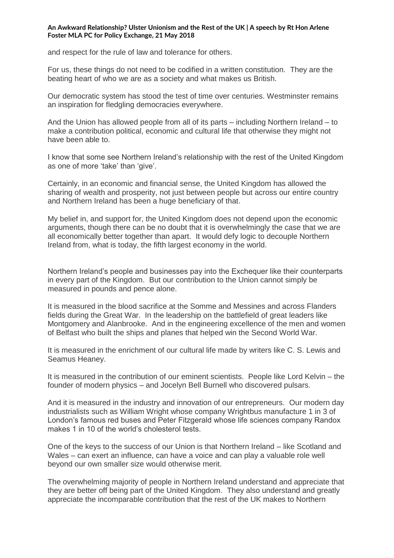and respect for the rule of law and tolerance for others.

For us, these things do not need to be codified in a written constitution. They are the beating heart of who we are as a society and what makes us British.

Our democratic system has stood the test of time over centuries. Westminster remains an inspiration for fledgling democracies everywhere.

And the Union has allowed people from all of its parts – including Northern Ireland – to make a contribution political, economic and cultural life that otherwise they might not have been able to.

I know that some see Northern Ireland's relationship with the rest of the United Kingdom as one of more 'take' than 'give'.

Certainly, in an economic and financial sense, the United Kingdom has allowed the sharing of wealth and prosperity, not just between people but across our entire country and Northern Ireland has been a huge beneficiary of that.

My belief in, and support for, the United Kingdom does not depend upon the economic arguments, though there can be no doubt that it is overwhelmingly the case that we are all economically better together than apart. It would defy logic to decouple Northern Ireland from, what is today, the fifth largest economy in the world.

Northern Ireland's people and businesses pay into the Exchequer like their counterparts in every part of the Kingdom. But our contribution to the Union cannot simply be measured in pounds and pence alone.

It is measured in the blood sacrifice at the Somme and Messines and across Flanders fields during the Great War. In the leadership on the battlefield of great leaders like Montgomery and Alanbrooke. And in the engineering excellence of the men and women of Belfast who built the ships and planes that helped win the Second World War.

It is measured in the enrichment of our cultural life made by writers like C. S. Lewis and Seamus Heaney.

It is measured in the contribution of our eminent scientists. People like Lord Kelvin – the founder of modern physics – and Jocelyn Bell Burnell who discovered pulsars.

And it is measured in the industry and innovation of our entrepreneurs. Our modern day industrialists such as William Wright whose company Wrightbus manufacture 1 in 3 of London's famous red buses and Peter Fitzgerald whose life sciences company Randox makes 1 in 10 of the world's cholesterol tests.

One of the keys to the success of our Union is that Northern Ireland – like Scotland and Wales – can exert an influence, can have a voice and can play a valuable role well beyond our own smaller size would otherwise merit.

The overwhelming majority of people in Northern Ireland understand and appreciate that they are better off being part of the United Kingdom. They also understand and greatly appreciate the incomparable contribution that the rest of the UK makes to Northern